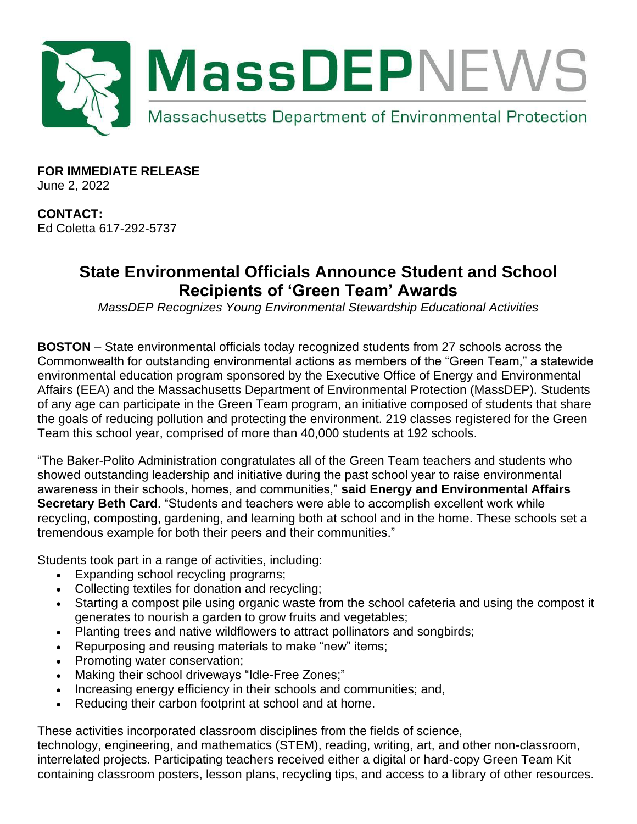

**FOR IMMEDIATE RELEASE** June 2, 2022

**CONTACT:** Ed Coletta 617-292-5737

## **State Environmental Officials Announce Student and School Recipients of 'Green Team' Awards**

*MassDEP Recognizes Young Environmental Stewardship Educational Activities*

**BOSTON** – State environmental officials today recognized students from 27 schools across the Commonwealth for outstanding environmental actions as members of the "Green Team," a statewide environmental education program sponsored by the Executive Office of Energy and Environmental Affairs (EEA) and the Massachusetts Department of Environmental Protection (MassDEP). Students of any age can participate in the Green Team program, an initiative composed of students that share the goals of reducing pollution and protecting the environment. 219 classes registered for the Green Team this school year, comprised of more than 40,000 students at 192 schools.

"The Baker-Polito Administration congratulates all of the Green Team teachers and students who showed outstanding leadership and initiative during the past school year to raise environmental awareness in their schools, homes, and communities," **said Energy and Environmental Affairs Secretary Beth Card**. "Students and teachers were able to accomplish excellent work while recycling, composting, gardening, and learning both at school and in the home. These schools set a tremendous example for both their peers and their communities."

Students took part in a range of activities, including:

- Expanding school recycling programs;
- Collecting textiles for donation and recycling;
- Starting a compost pile using organic waste from the school cafeteria and using the compost it generates to nourish a garden to grow fruits and vegetables;
- Planting trees and native wildflowers to attract pollinators and songbirds;
- Repurposing and reusing materials to make "new" items;
- Promoting water conservation;
- Making their school driveways "Idle-Free Zones;"
- Increasing energy efficiency in their schools and communities; and,
- Reducing their carbon footprint at school and at home.

These activities incorporated classroom disciplines from the fields of science,

technology, engineering, and mathematics (STEM), reading, writing, art, and other non-classroom, interrelated projects. Participating teachers received either a digital or hard-copy Green Team Kit containing classroom posters, lesson plans, recycling tips, and access to a library of other resources.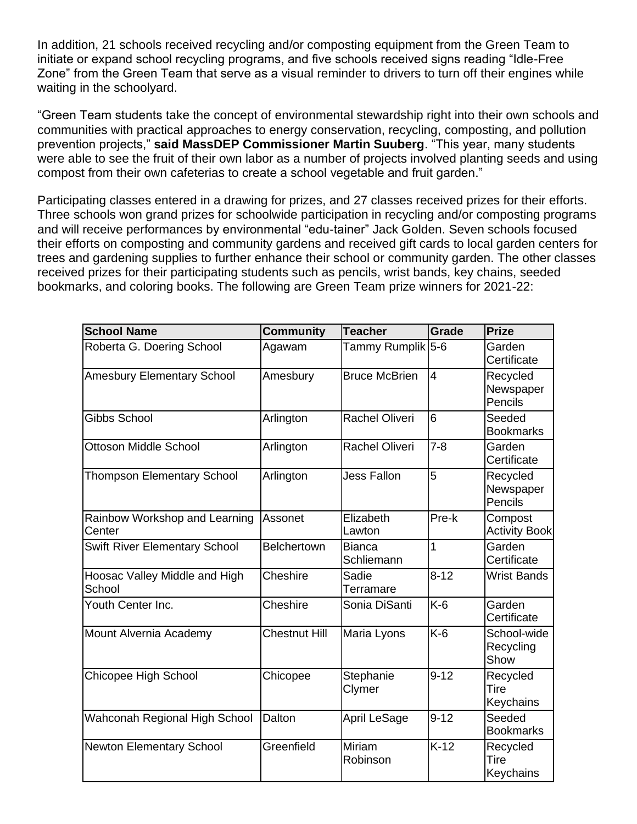In addition, 21 schools received recycling and/or composting equipment from the Green Team to initiate or expand school recycling programs, and five schools received signs reading "Idle-Free Zone" from the Green Team that serve as a visual reminder to drivers to turn off their engines while waiting in the schoolyard.

"Green Team students take the concept of environmental stewardship right into their own schools and communities with practical approaches to energy conservation, recycling, composting, and pollution prevention projects," **said MassDEP Commissioner Martin Suuberg**. "This year, many students were able to see the fruit of their own labor as a number of projects involved planting seeds and using compost from their own cafeterias to create a school vegetable and fruit garden."

Participating classes entered in a drawing for prizes, and 27 classes received prizes for their efforts. Three schools won grand prizes for schoolwide participation in recycling and/or composting programs and will receive performances by environmental "edu-tainer" Jack Golden. Seven schools focused their efforts on composting and community gardens and received gift cards to local garden centers for trees and gardening supplies to further enhance their school or community garden. The other classes received prizes for their participating students such as pencils, wrist bands, key chains, seeded bookmarks, and coloring books. The following are Green Team prize winners for 2021-22:

| <b>School Name</b>                      | <b>Community</b>   | <b>Teacher</b>              | <b>Grade</b>    | <b>Prize</b>                     |
|-----------------------------------------|--------------------|-----------------------------|-----------------|----------------------------------|
| Roberta G. Doering School               | Agawam             | Tammy Rumplik 5-6           |                 | Garden<br>Certificate            |
| <b>Amesbury Elementary School</b>       | Amesbury           | <b>Bruce McBrien</b>        | $\overline{4}$  | Recycled<br>Newspaper<br>Pencils |
| <b>Gibbs School</b>                     | Arlington          | Rachel Oliveri              | $6\overline{6}$ | Seeded<br><b>Bookmarks</b>       |
| <b>Ottoson Middle School</b>            | Arlington          | <b>Rachel Oliveri</b>       | $7 - 8$         | Garden<br>Certificate            |
| <b>Thompson Elementary School</b>       | Arlington          | <b>Jess Fallon</b>          | 5               | Recycled<br>Newspaper<br>Pencils |
| Rainbow Workshop and Learning<br>Center | Assonet            | Elizabeth<br>Lawton         | Pre-k           | Compost<br><b>Activity Book</b>  |
| Swift River Elementary School           | <b>Belchertown</b> | <b>Bianca</b><br>Schliemann | 1               | Garden<br>Certificate            |
| Hoosac Valley Middle and High<br>School | Cheshire           | Sadie<br>Terramare          | $8 - 12$        | <b>Wrist Bands</b>               |
| Youth Center Inc.                       | Cheshire           | Sonia DiSanti               | $K-6$           | Garden<br>Certificate            |
| Mount Alvernia Academy                  | Chestnut Hill      | Maria Lyons                 | $K-6$           | School-wide<br>Recycling<br>Show |
| Chicopee High School                    | Chicopee           | Stephanie<br>Clymer         | $9 - 12$        | Recycled<br>Tire<br>Keychains    |
| Wahconah Regional High School           | Dalton             | April LeSage                | $9 - 12$        | Seeded<br><b>Bookmarks</b>       |
| <b>Newton Elementary School</b>         | Greenfield         | <b>Miriam</b><br>Robinson   | $K-12$          | Recycled<br>Tire<br>Keychains    |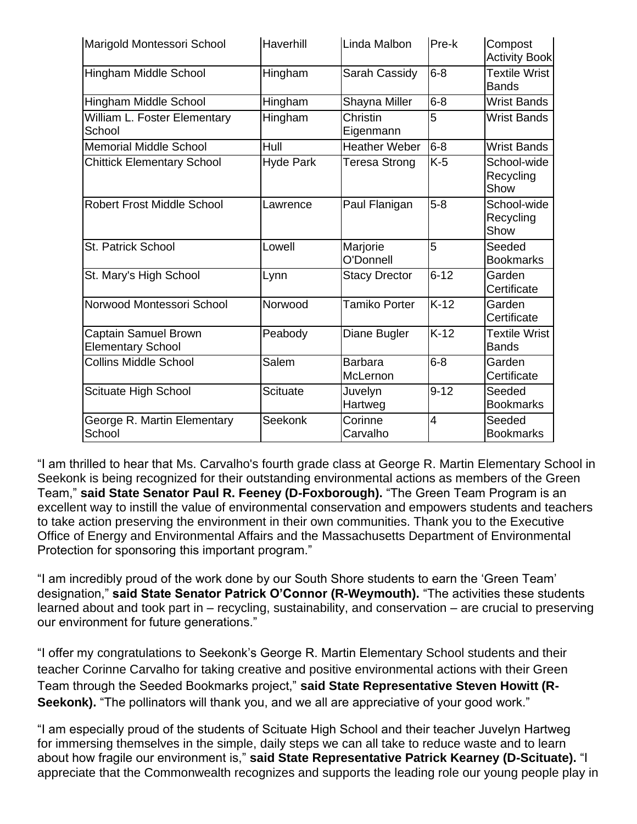| Marigold Montessori School                       | Haverhill        | Linda Malbon               | Pre-k    | Compost<br><b>Activity Book</b>      |
|--------------------------------------------------|------------------|----------------------------|----------|--------------------------------------|
| Hingham Middle School                            | Hingham          | Sarah Cassidy              | $6 - 8$  | <b>Textile Wrist</b><br><b>Bands</b> |
| Hingham Middle School                            | Hingham          | Shayna Miller              | $6 - 8$  | <b>Wrist Bands</b>                   |
| William L. Foster Elementary<br>School           | Hingham          | Christin<br>Eigenmann      | 5        | <b>Wrist Bands</b>                   |
| <b>Memorial Middle School</b>                    | Hull             | <b>Heather Weber</b>       | $6-8$    | <b>Wrist Bands</b>                   |
| <b>Chittick Elementary School</b>                | <b>Hyde Park</b> | Teresa Strong              | $K-5$    | School-wide<br>Recycling<br>Show     |
| <b>Robert Frost Middle School</b>                | Lawrence         | Paul Flanigan              | $5-8$    | School-wide<br>Recycling<br>Show     |
| St. Patrick School                               | Lowell           | Marjorie<br>O'Donnell      | 5        | Seeded<br><b>Bookmarks</b>           |
| St. Mary's High School                           | Lynn             | <b>Stacy Drector</b>       | $6 - 12$ | Garden<br>Certificate                |
| Norwood Montessori School                        | Norwood          | Tamiko Porter              | $K-12$   | Garden<br>Certificate                |
| Captain Samuel Brown<br><b>Elementary School</b> | Peabody          | Diane Bugler               | $K-12$   | <b>Textile Wrist</b><br><b>Bands</b> |
| <b>Collins Middle School</b>                     | Salem            | <b>Barbara</b><br>McLernon | $6 - 8$  | Garden<br>Certificate                |
| Scituate High School                             | <b>Scituate</b>  | Juvelyn<br>Hartweg         | $9 - 12$ | Seeded<br><b>Bookmarks</b>           |
| George R. Martin Elementary<br>School            | Seekonk          | Corinne<br>Carvalho        | 4        | Seeded<br><b>Bookmarks</b>           |

"I am thrilled to hear that Ms. Carvalho's fourth grade class at George R. Martin Elementary School in Seekonk is being recognized for their outstanding environmental actions as members of the Green Team," **said State Senator Paul R. Feeney (D-Foxborough).** "The Green Team Program is an excellent way to instill the value of environmental conservation and empowers students and teachers to take action preserving the environment in their own communities. Thank you to the Executive Office of Energy and Environmental Affairs and the Massachusetts Department of Environmental Protection for sponsoring this important program."

"I am incredibly proud of the work done by our South Shore students to earn the 'Green Team' designation," **said State Senator Patrick O'Connor (R-Weymouth).** "The activities these students learned about and took part in – recycling, sustainability, and conservation – are crucial to preserving our environment for future generations."

"I offer my congratulations to Seekonk's George R. Martin Elementary School students and their teacher Corinne Carvalho for taking creative and positive environmental actions with their Green Team through the Seeded Bookmarks project," **said State Representative Steven Howitt (R-Seekonk).** "The pollinators will thank you, and we all are appreciative of your good work."

"I am especially proud of the students of Scituate High School and their teacher Juvelyn Hartweg for immersing themselves in the simple, daily steps we can all take to reduce waste and to learn about how fragile our environment is," **said State Representative Patrick Kearney (D-Scituate).** "I appreciate that the Commonwealth recognizes and supports the leading role our young people play in